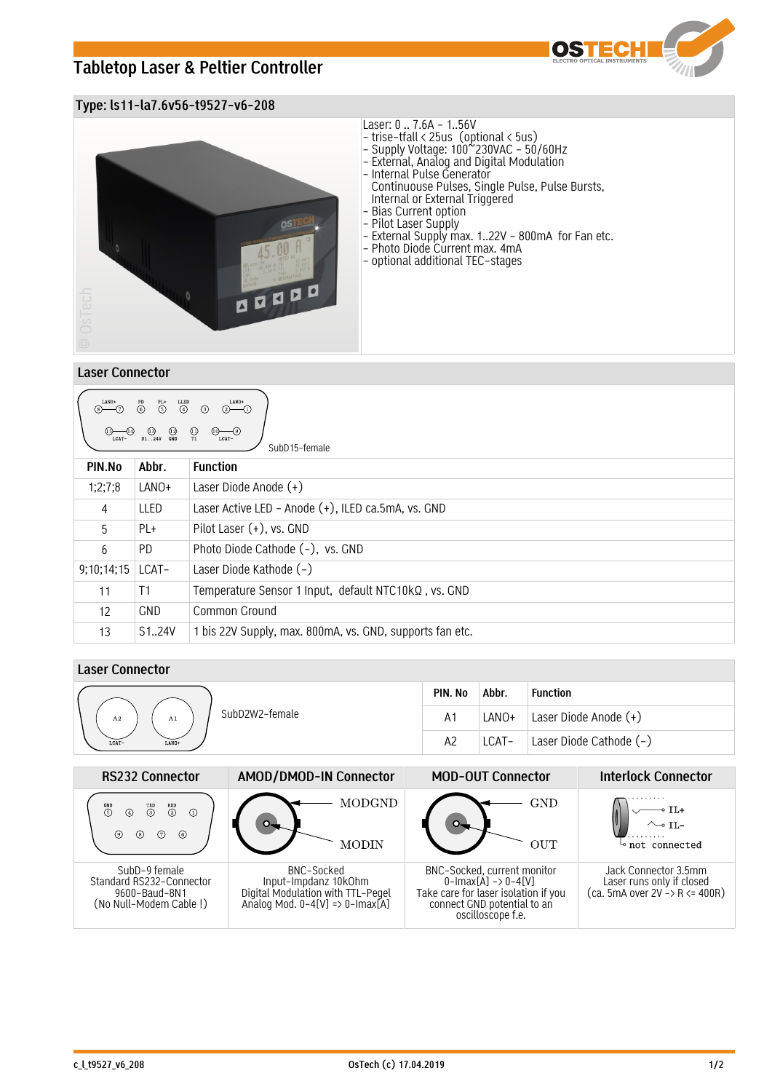# **Tabletop Laser & Peltier Controller**



## **Type: ls11-la7.6v56-t9527-v6-208**



### **Laser Connector**

| LANO+<br>LANO+<br>$\begin{pmatrix} PL+ & LLED \\ 5 & 4 \end{pmatrix}$<br>$\overset{\text{PD}}{\odot}$<br>$(2)$ (1)<br>$\circ$ $\circ$<br>$\odot$<br>$\bigcirc$ $\bigcirc$ $\bigcirc$ $\bigcirc$ $\bigcirc$ $\bigcirc$ $\bigcirc$ $\bigcirc$ $\bigcirc$ $\bigcirc$ $\bigcirc$ $\bigcirc$ $\bigcirc$ $\bigcirc$ $\bigcirc$ $\bigcirc$ $\bigcirc$ $\bigcirc$ $\bigcirc$ $\bigcirc$ $\bigcirc$ $\bigcirc$ $\bigcirc$ $\bigcirc$ $\bigcirc$ $\bigcirc$ $\bigcirc$ $\bigcirc$ $\bigcirc$ $\bigcirc$ $\bigcirc$ $\bigcirc$ $\bigcirc$ $\bigcirc$ $\bigcirc$ $\bigcirc$ $\bigcirc$<br>$\bigoplus_{T1}$<br>$\underbrace{\textcircled{\tiny 0}\text{}}_{\text{LCAT}-}$<br>LCAT-<br>SubD <sub>15</sub> -female |            |                                                          |  |  |  |  |
|-----------------------------------------------------------------------------------------------------------------------------------------------------------------------------------------------------------------------------------------------------------------------------------------------------------------------------------------------------------------------------------------------------------------------------------------------------------------------------------------------------------------------------------------------------------------------------------------------------------------------------------------------------------------------------------------------------|------------|----------------------------------------------------------|--|--|--|--|
| PIN.No                                                                                                                                                                                                                                                                                                                                                                                                                                                                                                                                                                                                                                                                                              | Abbr.      | <b>Function</b>                                          |  |  |  |  |
| 1;2;7;8                                                                                                                                                                                                                                                                                                                                                                                                                                                                                                                                                                                                                                                                                             | LANO+      | Laser Diode Anode (+)                                    |  |  |  |  |
| $\overline{4}$                                                                                                                                                                                                                                                                                                                                                                                                                                                                                                                                                                                                                                                                                      | LLED       | Laser Active LED - Anode (+), ILED ca.5mA, vs. GND       |  |  |  |  |
| 5                                                                                                                                                                                                                                                                                                                                                                                                                                                                                                                                                                                                                                                                                                   | PL+        | Pilot Laser $(+)$ , vs. GND                              |  |  |  |  |
| 6                                                                                                                                                                                                                                                                                                                                                                                                                                                                                                                                                                                                                                                                                                   | PD.        | Photo Diode Cathode (-), vs. GND                         |  |  |  |  |
| 9;10;14;15                                                                                                                                                                                                                                                                                                                                                                                                                                                                                                                                                                                                                                                                                          | LCAT-      | Laser Diode Kathode (-)                                  |  |  |  |  |
| 11                                                                                                                                                                                                                                                                                                                                                                                                                                                                                                                                                                                                                                                                                                  | T1         | Temperature Sensor 1 Input, default NTC10kQ, vs. GND     |  |  |  |  |
| 12                                                                                                                                                                                                                                                                                                                                                                                                                                                                                                                                                                                                                                                                                                  | <b>GND</b> | Common Ground                                            |  |  |  |  |
| 13                                                                                                                                                                                                                                                                                                                                                                                                                                                                                                                                                                                                                                                                                                  | S124V      | 1 bis 22V Supply, max. 800mA, vs. GND, supports fan etc. |  |  |  |  |

## **Laser Connector**

|                            | PIN. No        | Abbr. | Function                |
|----------------------------|----------------|-------|-------------------------|
| SubD2W2-female<br>A2<br>A1 | A <sub>1</sub> | LANO+ | Laser Diode Anode (+)   |
| LCAT-<br>LANO+             | A2             | LCAT- | Laser Diode Cathode (-) |

| <b>RS232 Connector</b>                                                               | AMOD/DMOD-IN Connector                                                                                     | <b>MOD-OUT Connector</b>                                                                                                                                          | <b>Interlock Connector</b>                                                           |  |  |
|--------------------------------------------------------------------------------------|------------------------------------------------------------------------------------------------------------|-------------------------------------------------------------------------------------------------------------------------------------------------------------------|--------------------------------------------------------------------------------------|--|--|
| $\overset{RXD}{(2)}$<br>$\overset{GND}{(5)}$<br>⋒<br>(6)<br>(7)<br>(8)               | MODGND<br>MODIN                                                                                            | GND<br>OUT                                                                                                                                                        | not connected                                                                        |  |  |
| SubD-9 female<br>Standard RS232-Connector<br>9600-Baud-8N1<br>(No Null-Modem Cable!) | BNC-Socked<br>Input-Impdanz 10kOhm<br>Digital Modulation with TTL-Pegel<br>Analog Mod. 0-4[V] => 0-Imax[A] | BNC-Socked, current monitor<br>$0$ -Imax $[A] \rightarrow 0$ -4 $[V]$<br>Take care for laser isolation if you<br>connect GND potential to an<br>oscilloscope f.e. | Jack Connector 3.5mm<br>Laser runs only if closed<br>$(ca. 5mA over 2V - R <= 400R)$ |  |  |